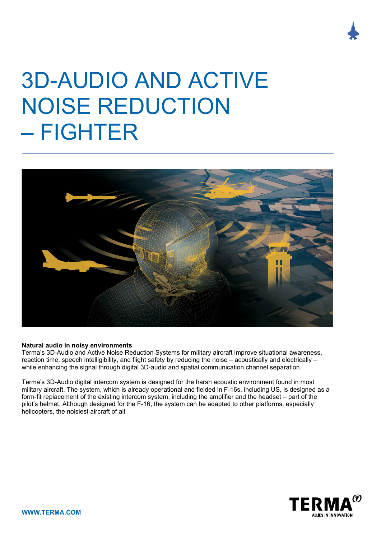# 3D-AUDIO AND ACTIVE NOISE REDUCTION – FIGHTER



## **Natural audio in noisy environments**

Terma's 3D-Audio and Active Noise Reduction Systems for military aircraft improve situational awareness, reaction time, speech intelligibility, and flight safety by reducing the noise – acoustically and electrically – while enhancing the signal through digital 3D-audio and spatial communication channel separation.

Terma's 3D-Audio digital intercom system is designed for the harsh acoustic environment found in most military aircraft. The system, which is already operational and fielded in F-16s, including US, is designed as a form-fit replacement of the existing intercom system, including the amplifier and the headset – part of the pilot's helmet. Although designed for the F-16, the system can be adapted to other platforms, especially helicopters, the noisiest aircraft of all.



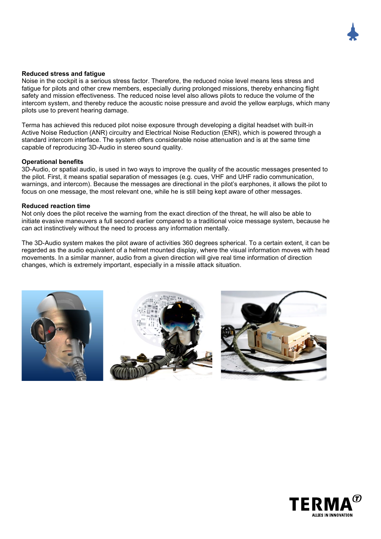

### **Reduced stress and fatigue**

Noise in the cockpit is a serious stress factor. Therefore, the reduced noise level means less stress and fatigue for pilots and other crew members, especially during prolonged missions, thereby enhancing flight safety and mission effectiveness. The reduced noise level also allows pilots to reduce the volume of the intercom system, and thereby reduce the acoustic noise pressure and avoid the yellow earplugs, which many pilots use to prevent hearing damage.

Terma has achieved this reduced pilot noise exposure through developing a digital headset with built-in Active Noise Reduction (ANR) circuitry and Electrical Noise Reduction (ENR), which is powered through a standard intercom interface. The system offers considerable noise attenuation and is at the same time capable of reproducing 3D-Audio in stereo sound quality.

#### **Operational benefits**

3D-Audio, or spatial audio, is used in two ways to improve the quality of the acoustic messages presented to the pilot. First, it means spatial separation of messages (e.g. cues, VHF and UHF radio communication, warnings, and intercom). Because the messages are directional in the pilot's earphones, it allows the pilot to focus on one message, the most relevant one, while he is still being kept aware of other messages.

#### **Reduced reaction time**

Not only does the pilot receive the warning from the exact direction of the threat, he will also be able to initiate evasive maneuvers a full second earlier compared to a traditional voice message system, because he can act instinctively without the need to process any information mentally.

The 3D-Audio system makes the pilot aware of activities 360 degrees spherical. To a certain extent, it can be regarded as the audio equivalent of a helmet mounted display, where the visual information moves with head movements. In a similar manner, audio from a given direction will give real time information of direction changes, which is extremely important, especially in a missile attack situation.